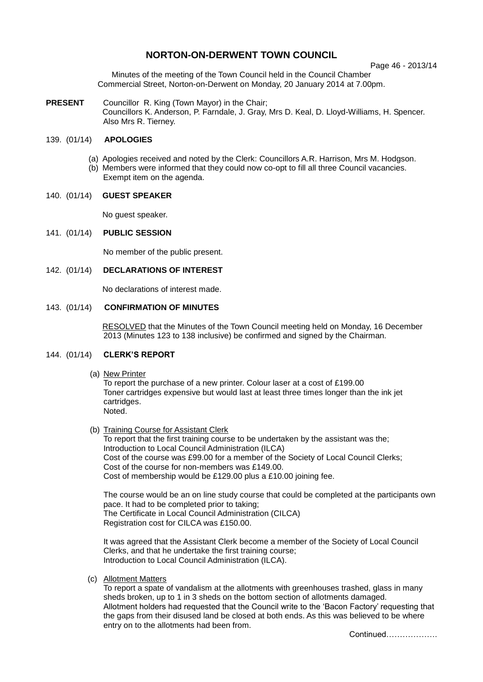# **NORTON-ON-DERWENT TOWN COUNCIL**

Page 46 - 2013/14

Minutes of the meeting of the Town Council held in the Council Chamber Commercial Street, Norton-on-Derwent on Monday, 20 January 2014 at 7.00pm.

**PRESENT** Councillor R. King (Town Mayor) in the Chair; Councillors K. Anderson, P. Farndale, J. Gray, Mrs D. Keal, D. Lloyd-Williams, H. Spencer. Also Mrs R. Tierney.

# 139. (01/14) **APOLOGIES**

(a) Apologies received and noted by the Clerk: Councillors A.R. Harrison, Mrs M. Hodgson. (b) Members were informed that they could now co-opt to fill all three Council vacancies. Exempt item on the agenda.

# 140. (01/14) **GUEST SPEAKER**

No guest speaker.

# 141. (01/14) **PUBLIC SESSION**

No member of the public present.

142. (01/14) **DECLARATIONS OF INTEREST**

No declarations of interest made.

## 143. (01/14) **CONFIRMATION OF MINUTES**

RESOLVED that the Minutes of the Town Council meeting held on Monday, 16 December 2013 (Minutes 123 to 138 inclusive) be confirmed and signed by the Chairman.

### 144. (01/14) **CLERK'S REPORT**

(a) New Printer

To report the purchase of a new printer. Colour laser at a cost of £199.00 Toner cartridges expensive but would last at least three times longer than the ink jet cartridges. Noted.

(b) Training Course for Assistant Clerk

To report that the first training course to be undertaken by the assistant was the; Introduction to Local Council Administration (ILCA) Cost of the course was £99.00 for a member of the Society of Local Council Clerks; Cost of the course for non-members was £149.00. Cost of membership would be £129.00 plus a £10.00 joining fee.

The course would be an on line study course that could be completed at the participants own pace. It had to be completed prior to taking; The Certificate in Local Council Administration (CILCA) Registration cost for CILCA was £150.00.

It was agreed that the Assistant Clerk become a member of the Society of Local Council Clerks, and that he undertake the first training course; Introduction to Local Council Administration (ILCA).

(c) Allotment Matters

To report a spate of vandalism at the allotments with greenhouses trashed, glass in many sheds broken, up to 1 in 3 sheds on the bottom section of allotments damaged. Allotment holders had requested that the Council write to the 'Bacon Factory' requesting that the gaps from their disused land be closed at both ends. As this was believed to be where entry on to the allotments had been from.

Continued……………….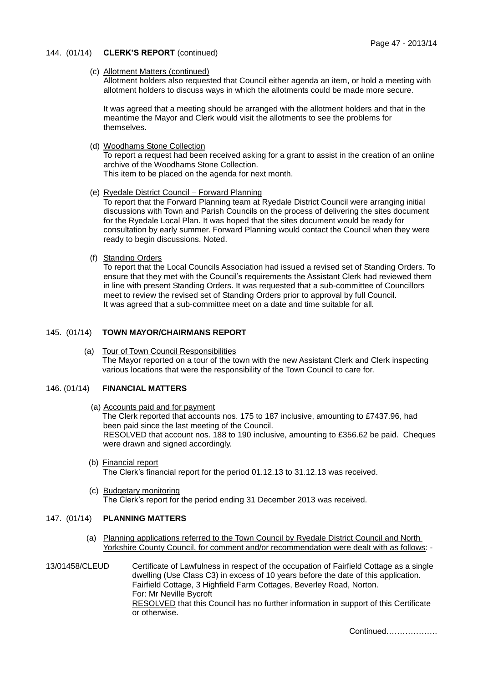### 144. (01/14) **CLERK'S REPORT** (continued)

## (c) Allotment Matters (continued)

Allotment holders also requested that Council either agenda an item, or hold a meeting with allotment holders to discuss ways in which the allotments could be made more secure.

It was agreed that a meeting should be arranged with the allotment holders and that in the meantime the Mayor and Clerk would visit the allotments to see the problems for themselves.

(d) Woodhams Stone Collection

To report a request had been received asking for a grant to assist in the creation of an online archive of the Woodhams Stone Collection.

This item to be placed on the agenda for next month.

(e) Ryedale District Council – Forward Planning

To report that the Forward Planning team at Ryedale District Council were arranging initial discussions with Town and Parish Councils on the process of delivering the sites document for the Ryedale Local Plan. It was hoped that the sites document would be ready for consultation by early summer. Forward Planning would contact the Council when they were ready to begin discussions. Noted.

(f) Standing Orders

To report that the Local Councils Association had issued a revised set of Standing Orders. To ensure that they met with the Council's requirements the Assistant Clerk had reviewed them in line with present Standing Orders. It was requested that a sub-committee of Councillors meet to review the revised set of Standing Orders prior to approval by full Council. It was agreed that a sub-committee meet on a date and time suitable for all.

# 145. (01/14) **TOWN MAYOR/CHAIRMANS REPORT**

 (a) Tour of Town Council Responsibilities The Mayor reported on a tour of the town with the new Assistant Clerk and Clerk inspecting various locations that were the responsibility of the Town Council to care for.

# 146. (01/14) **FINANCIAL MATTERS**

- (a) Accounts paid and for payment The Clerk reported that accounts nos. 175 to 187 inclusive, amounting to £7437.96, had been paid since the last meeting of the Council. RESOLVED that account nos. 188 to 190 inclusive, amounting to £356.62 be paid. Cheques were drawn and signed accordingly.
- (b) Financial report The Clerk's financial report for the period 01.12.13 to 31.12.13 was received.
- (c) Budgetary monitoring The Clerk's report for the period ending 31 December 2013 was received.

# 147. (01/14) **PLANNING MATTERS**

- (a) Planning applications referred to the Town Council by Ryedale District Council and North Yorkshire County Council, for comment and/or recommendation were dealt with as follows: -
- 13/01458/CLEUD Certificate of Lawfulness in respect of the occupation of Fairfield Cottage as a single dwelling (Use Class C3) in excess of 10 years before the date of this application. Fairfield Cottage, 3 Highfield Farm Cottages, Beverley Road, Norton. For: Mr Neville Bycroft RESOLVED that this Council has no further information in support of this Certificate or otherwise.

Continued……………….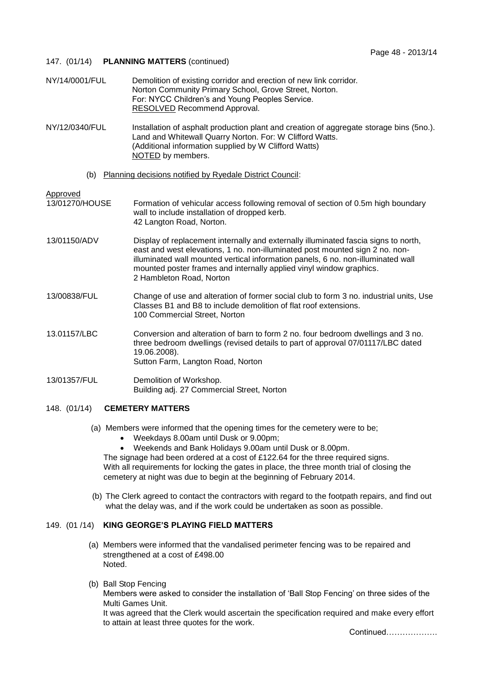# 147. (01/14) **PLANNING MATTERS** (continued)

| NY/14/0001/FUL                                                  | Demolition of existing corridor and erection of new link corridor.<br>Norton Community Primary School, Grove Street, Norton.<br>For: NYCC Children's and Young Peoples Service.<br>RESOLVED Recommend Approval.                                                                                                                                            |
|-----------------------------------------------------------------|------------------------------------------------------------------------------------------------------------------------------------------------------------------------------------------------------------------------------------------------------------------------------------------------------------------------------------------------------------|
| NY/12/0340/FUL                                                  | Installation of asphalt production plant and creation of aggregate storage bins (5no.).<br>Land and Whitewall Quarry Norton. For: W Clifford Watts.<br>(Additional information supplied by W Clifford Watts)<br>NOTED by members.                                                                                                                          |
| Planning decisions notified by Ryedale District Council:<br>(b) |                                                                                                                                                                                                                                                                                                                                                            |
| Approved                                                        |                                                                                                                                                                                                                                                                                                                                                            |
| 13/01270/HOUSE                                                  | Formation of vehicular access following removal of section of 0.5m high boundary<br>wall to include installation of dropped kerb.<br>42 Langton Road, Norton.                                                                                                                                                                                              |
| 13/01150/ADV                                                    | Display of replacement internally and externally illuminated fascia signs to north,<br>east and west elevations, 1 no. non-illuminated post mounted sign 2 no. non-<br>illuminated wall mounted vertical information panels, 6 no. non-illuminated wall<br>mounted poster frames and internally applied vinyl window graphics.<br>2 Hambleton Road, Norton |
| 13/00838/FUL                                                    | Change of use and alteration of former social club to form 3 no. industrial units, Use<br>Classes B1 and B8 to include demolition of flat roof extensions.<br>100 Commercial Street, Norton                                                                                                                                                                |
| 13.01157/LBC                                                    | Conversion and alteration of barn to form 2 no. four bedroom dwellings and 3 no.<br>three bedroom dwellings (revised details to part of approval 07/01117/LBC dated<br>19.06.2008).<br>Sutton Farm, Langton Road, Norton                                                                                                                                   |
| 13/01357/FUL                                                    | Demolition of Workshop.<br>Building adj. 27 Commercial Street, Norton                                                                                                                                                                                                                                                                                      |

# 148. (01/14) **CEMETERY MATTERS**

- (a) Members were informed that the opening times for the cemetery were to be;
	- Weekdays 8.00am until Dusk or 9.00pm;
	- Weekends and Bank Holidays 9.00am until Dusk or 8.00pm.

The signage had been ordered at a cost of £122.64 for the three required signs. With all requirements for locking the gates in place, the three month trial of closing the cemetery at night was due to begin at the beginning of February 2014.

 (b) The Clerk agreed to contact the contractors with regard to the footpath repairs, and find out what the delay was, and if the work could be undertaken as soon as possible.

### 149. (01 /14) **KING GEORGE'S PLAYING FIELD MATTERS**

- (a) Members were informed that the vandalised perimeter fencing was to be repaired and strengthened at a cost of £498.00 Noted.
- (b) Ball Stop Fencing

Members were asked to consider the installation of 'Ball Stop Fencing' on three sides of the Multi Games Unit.

It was agreed that the Clerk would ascertain the specification required and make every effort to attain at least three quotes for the work.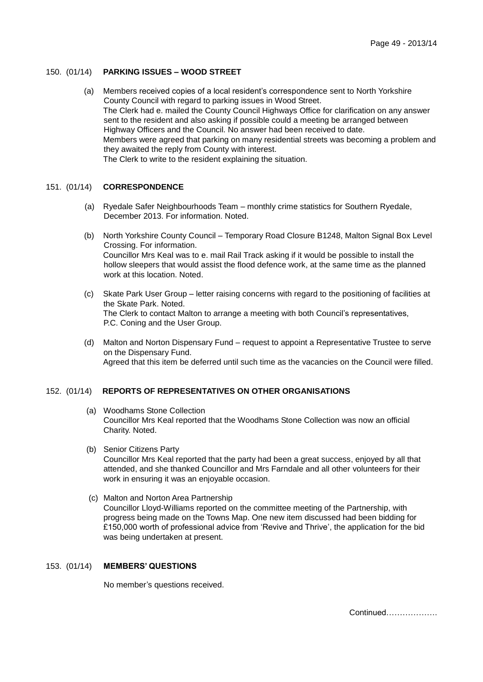# 150. (01/14) **PARKING ISSUES – WOOD STREET**

 (a) Members received copies of a local resident's correspondence sent to North Yorkshire County Council with regard to parking issues in Wood Street. The Clerk had e. mailed the County Council Highways Office for clarification on any answer sent to the resident and also asking if possible could a meeting be arranged between Highway Officers and the Council. No answer had been received to date. Members were agreed that parking on many residential streets was becoming a problem and they awaited the reply from County with interest. The Clerk to write to the resident explaining the situation.

### 151. (01/14) **CORRESPONDENCE**

- (a) Ryedale Safer Neighbourhoods Team monthly crime statistics for Southern Ryedale, December 2013. For information. Noted.
- (b) North Yorkshire County Council Temporary Road Closure B1248, Malton Signal Box Level Crossing. For information. Councillor Mrs Keal was to e. mail Rail Track asking if it would be possible to install the hollow sleepers that would assist the flood defence work, at the same time as the planned work at this location. Noted.
- (c) Skate Park User Group letter raising concerns with regard to the positioning of facilities at the Skate Park. Noted. The Clerk to contact Malton to arrange a meeting with both Council's representatives, P.C. Coning and the User Group.
- (d) Malton and Norton Dispensary Fund request to appoint a Representative Trustee to serve on the Dispensary Fund. Agreed that this item be deferred until such time as the vacancies on the Council were filled.

### 152. (01/14) **REPORTS OF REPRESENTATIVES ON OTHER ORGANISATIONS**

- (a) Woodhams Stone Collection Councillor Mrs Keal reported that the Woodhams Stone Collection was now an official Charity. Noted.
- (b) Senior Citizens Party Councillor Mrs Keal reported that the party had been a great success, enjoyed by all that attended, and she thanked Councillor and Mrs Farndale and all other volunteers for their work in ensuring it was an enjoyable occasion.
- (c) Malton and Norton Area Partnership Councillor Lloyd-Williams reported on the committee meeting of the Partnership, with progress being made on the Towns Map. One new item discussed had been bidding for £150,000 worth of professional advice from 'Revive and Thrive', the application for the bid was being undertaken at present.

#### 153. (01/14) **MEMBERS' QUESTIONS**

No member's questions received.

Continued……………….